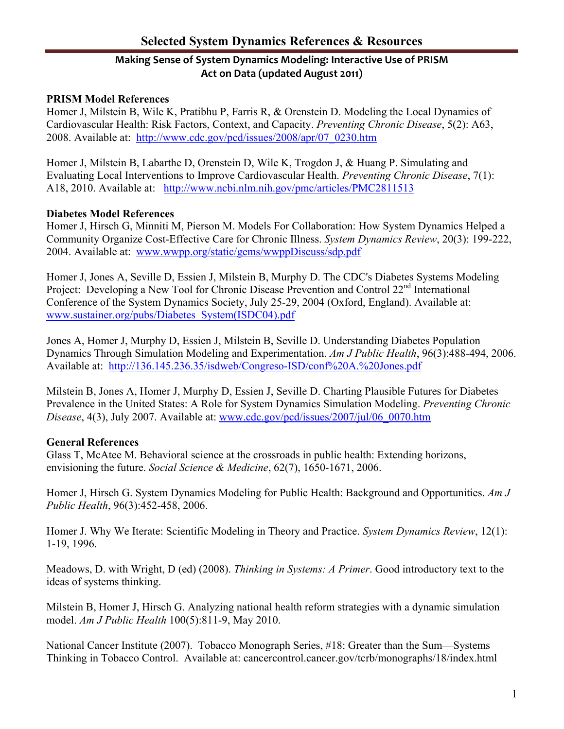# **Making Sense of System Dynamics Modeling: Interactive Use of PRISM Act on Data (updated August 2011)**

### **PRISM Model References**

Homer J, Milstein B, Wile K, Pratibhu P, Farris R, & Orenstein D. Modeling the Local Dynamics of Cardiovascular Health: Risk Factors, Context, and Capacity. *Preventing Chronic Disease*, 5(2): A63, 2008. Available at: [http://www.cdc.gov/pcd/issues/2008/apr/07\\_0230.htm](http://www.cdc.gov/pcd/issues/2008/apr/07_0230.htm)

Homer J, Milstein B, Labarthe D, Orenstein D, Wile K, Trogdon J, & Huang P. Simulating and Evaluating Local Interventions to Improve Cardiovascular Health. *Preventing Chronic Disease*, 7(1): A18, 2010. Available at: <http://www.ncbi.nlm.nih.gov/pmc/articles/PMC2811513>

#### **Diabetes Model References**

Homer J, Hirsch G, Minniti M, Pierson M. Models For Collaboration: How System Dynamics Helped a Community Organize Cost-Effective Care for Chronic Illness. *System Dynamics Review*, 20(3): 199-222, 2004. Available at: [www.wwpp.org/static/gems/wwppDiscuss/sdp.pdf](http://www.wwpp.org/static/gems/wwppDiscuss/sdp.pdf)

Homer J, Jones A, Seville D, Essien J, Milstein B, Murphy D. The CDC's Diabetes Systems Modeling Project: Developing a New Tool for Chronic Disease Prevention and Control 22<sup>nd</sup> International Conference of the System Dynamics Society, July 25-29, 2004 (Oxford, England). Available at: [www.sustainer.org/pubs/Diabetes\\_System\(ISDC04\).pdf](http://www.sustainer.org/pubs/Diabetes_System(ISDC04).pdf)

Jones A, Homer J, Murphy D, Essien J, Milstein B, Seville D. Understanding Diabetes Population Dynamics Through Simulation Modeling and Experimentation. *Am J Public Health*, 96(3):488-494, 2006. Available at: <http://136.145.236.35/isdweb/Congreso-ISD/conf%20A.%20Jones.pdf>

Milstein B, Jones A, Homer J, Murphy D, Essien J, Seville D. Charting Plausible Futures for Diabetes Prevalence in the United States: A Role for System Dynamics Simulation Modeling. *Preventing Chronic Disease*, 4(3), July 2007. Available at: [www.cdc.gov/pcd/issues/2007/jul/06\\_0070.htm](http://www.cdc.gov/pcd/issues/2007/jul/06_0070.htm)

## **General References**

Glass T, McAtee M. Behavioral science at the crossroads in public health: Extending horizons, envisioning the future. *Social Science & Medicine*, 62(7), 1650-1671, 2006.

Homer J, Hirsch G. System Dynamics Modeling for Public Health: Background and Opportunities. *Am J Public Health*, 96(3):452-458, 2006.

Homer J. Why We Iterate: Scientific Modeling in Theory and Practice. *System Dynamics Review*, 12(1): 1-19, 1996.

Meadows, D. with Wright, D (ed) (2008). *Thinking in Systems: A Primer*. Good introductory text to the ideas of systems thinking.

Milstein B, Homer J, Hirsch G. Analyzing national health reform strategies with a dynamic simulation model. *Am J Public Health* 100(5):811-9, May 2010.

National Cancer Institute (2007). Tobacco Monograph Series, #18: Greater than the Sum—Systems Thinking in Tobacco Control. Available at: cancercontrol.cancer.gov/tcrb/monographs/18/index.html